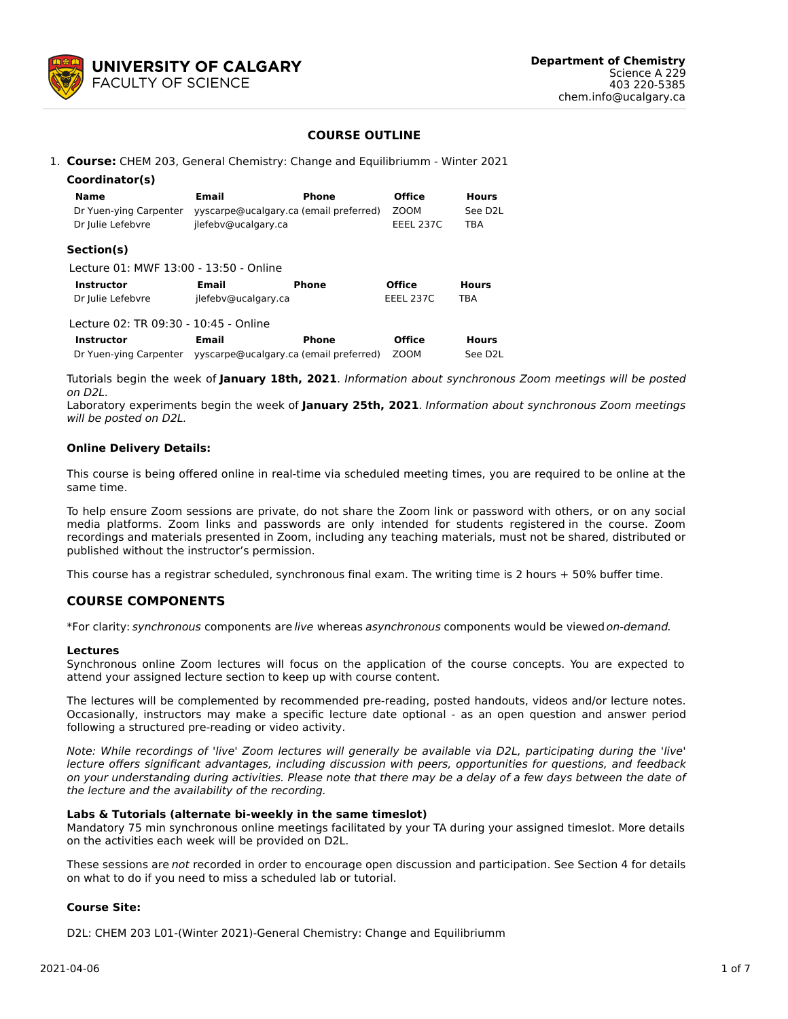

### **COURSE OUTLINE**

1. **Course:** CHEM 203, General Chemistry: Change and Equilibriumm - Winter 2021

| Coordinator(s)                         |                                        |              |                  |                      |
|----------------------------------------|----------------------------------------|--------------|------------------|----------------------|
| <b>Name</b>                            | Email                                  | Phone        | <b>Office</b>    | <b>Hours</b>         |
| Dr Yuen-ying Carpenter                 | yyscarpe@ucalgary.ca (email preferred) |              | ZOOM             | See D <sub>2</sub> L |
| Dr Julie Lefebvre                      | jlefebv@ucalgary.ca                    |              | <b>EEEL 237C</b> | <b>TBA</b>           |
| Section(s)                             |                                        |              |                  |                      |
| Lecture 01: MWF 13:00 - 13:50 - Online |                                        |              |                  |                      |
| <b>Instructor</b>                      | Email                                  | <b>Phone</b> | <b>Office</b>    | <b>Hours</b>         |
| Dr Julie Lefebvre                      | jlefebv@ucalgary.ca                    |              | <b>EEEL 237C</b> | <b>TBA</b>           |
| Lecture 02: TR 09:30 - 10:45 - Online  |                                        |              |                  |                      |
| <b>Instructor</b>                      | <b>Email</b>                           | Phone        | <b>Office</b>    | <b>Hours</b>         |
| Dr Yuen-ying Carpenter                 | yyscarpe@ucalgary.ca (email preferred) |              | <b>ZOOM</b>      | See D <sub>2</sub> L |

Tutorials begin the week of **January 18th, 2021**. Information about synchronous Zoom meetings will be posted on D2L.

Laboratory experiments begin the week of **January 25th, 2021**. Information about synchronous Zoom meetings will be posted on D2L.

#### **Online Delivery Details:**

This course is being offered online in real-time via scheduled meeting times, you are required to be online at the same time.

To help ensure Zoom sessions are private, do not share the Zoom link or password with others, or on any social media platforms. Zoom links and passwords are only intended for students registered in the course. Zoom recordings and materials presented in Zoom, including any teaching materials, must not be shared, distributed or published without the instructor's permission.

This course has a registrar scheduled, synchronous final exam. The writing time is 2 hours + 50% buffer time.

# **COURSE COMPONENTS**

\*For clarity: synchronous components are live whereas asynchronous components would be viewedon-demand.

#### **Lectures**

Synchronous online Zoom lectures will focus on the application of the course concepts. You are expected to attend your assigned lecture section to keep up with course content.

The lectures will be complemented by recommended pre-reading, posted handouts, videos and/or lecture notes. Occasionally, instructors may make a specific lecture date optional - as an open question and answer period following a structured pre-reading or video activity.

Note: While recordings of 'live' Zoom lectures will generally be available via D2L, participating during the 'live' lecture offers significant advantages, including discussion with peers, opportunities for questions, and feedback on your understanding during activities. Please note that there may be a delay of a few days between the date of the lecture and the availability of the recording.

#### **Labs & Tutorials (alternate bi-weekly in the same timeslot)**

Mandatory 75 min synchronous online meetings facilitated by your TA during your assigned timeslot. More details on the activities each week will be provided on D2L.

These sessions are not recorded in order to encourage open discussion and participation. See Section 4 for details on what to do if you need to miss a scheduled lab or tutorial.

#### **Course Site:**

D2L: CHEM 203 L01-(Winter 2021)-General Chemistry: Change and Equilibriumm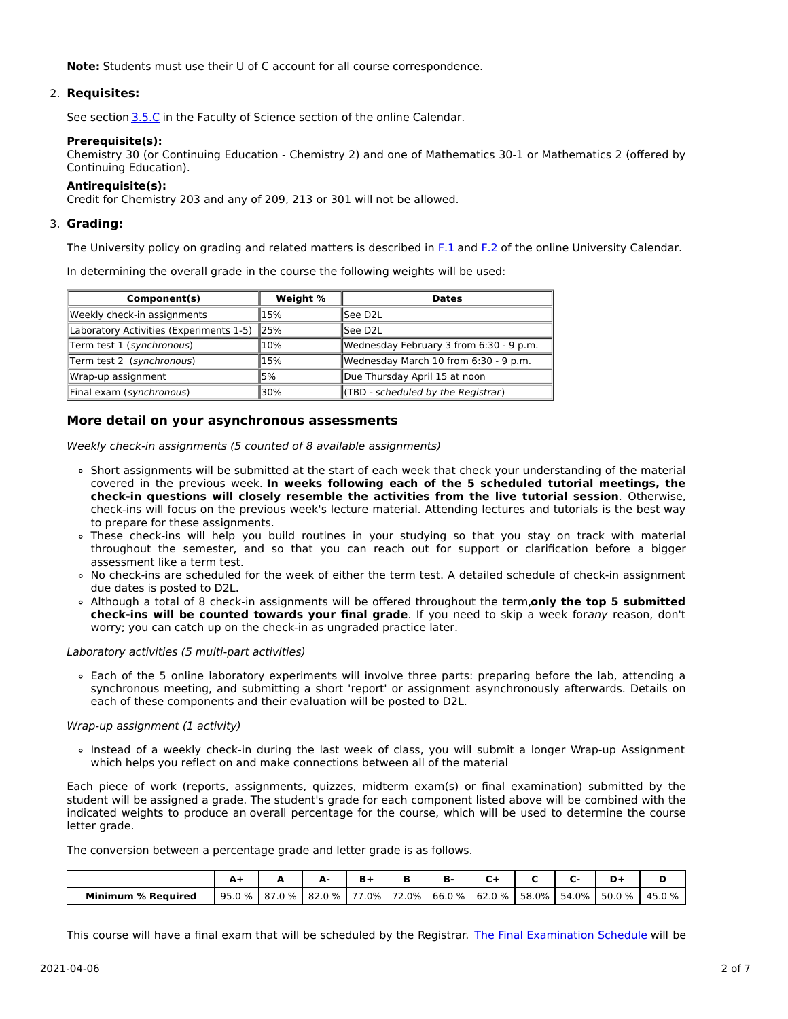**Note:** Students must use their U of C account for all course correspondence.

# 2. **Requisites:**

See section [3.5.C](http://www.ucalgary.ca/pubs/calendar/current/sc-3-5.html) in the Faculty of Science section of the online Calendar.

# **Prerequisite(s):**

Chemistry 30 (or Continuing Education - Chemistry 2) and one of Mathematics 30-1 or Mathematics 2 (offered by Continuing Education).

# **Antirequisite(s):**

Credit for Chemistry 203 and any of 209, 213 or 301 will not be allowed.

# 3. **Grading:**

The University policy on grading and related matters is described in [F.1](http://www.ucalgary.ca/pubs/calendar/current/f-1.html) and [F.2](http://www.ucalgary.ca/pubs/calendar/current/f-2.html) of the online University Calendar.

In determining the overall grade in the course the following weights will be used:

| Component(s)                                | Weight % | <b>Dates</b>                            |  |  |
|---------------------------------------------|----------|-----------------------------------------|--|--|
| Weekly check-in assignments                 | 15%      | lSee D2L                                |  |  |
| Laboratory Activities (Experiments 1-5) 25% |          | lSee D2L                                |  |  |
| Term test 1 (synchronous)                   | 10%      | Wednesday February 3 from 6:30 - 9 p.m. |  |  |
| Term test 2 (synchronous)                   | 15%      | Wednesday March 10 from 6:30 - 9 p.m.   |  |  |
| Wrap-up assignment                          | l5%      | Due Thursday April 15 at noon           |  |  |
| Final exam (synchronous)                    | l30%     | (TBD - scheduled by the Registrar)      |  |  |

# **More detail on your asynchronous assessments**

Weekly check-in assignments (5 counted of 8 available assignments)

- Short assignments will be submitted at the start of each week that check your understanding of the material covered in the previous week. **In weeks following each of the 5 scheduled tutorial meetings, the check-in questions will closely resemble the activities from the live tutorial session**. Otherwise, check-ins will focus on the previous week's lecture material. Attending lectures and tutorials is the best way to prepare for these assignments.
- These check-ins will help you build routines in your studying so that you stay on track with material throughout the semester, and so that you can reach out for support or clarification before a bigger assessment like a term test.
- No check-ins are scheduled for the week of either the term test. A detailed schedule of check-in assignment due dates is posted to D2L.
- Although a total of 8 check-in assignments will be offered throughout the term,**only the top 5 submitted check-ins will be counted towards your final grade**. If you need to skip a week forany reason, don't worry; you can catch up on the check-in as ungraded practice later.

Laboratory activities (5 multi-part activities)

Each of the 5 online laboratory experiments will involve three parts: preparing before the lab, attending a synchronous meeting, and submitting a short 'report' or assignment asynchronously afterwards. Details on each of these components and their evaluation will be posted to D2L.

# Wrap-up assignment (1 activity)

Instead of a weekly check-in during the last week of class, you will submit a longer Wrap-up Assignment which helps you reflect on and make connections between all of the material

Each piece of work (reports, assignments, quizzes, midterm exam(s) or final examination) submitted by the student will be assigned a grade. The student's grade for each component listed above will be combined with the indicated weights to produce an overall percentage for the course, which will be used to determine the course letter grade.

The conversion between a percentage grade and letter grade is as follows.

|                           | -      |        |               | $R+$  |       | в.     |        |       |       | n                 |        |
|---------------------------|--------|--------|---------------|-------|-------|--------|--------|-------|-------|-------------------|--------|
| <b>Minimum % Required</b> | 95.0 % | 87.0 % | $0\%$<br>82.L | 77.0% | 72.0% | 66.0 % | 62.0 % | 58.0% | 54.0% | $\sim$ %.<br>50.0 | 45.0 % |

This course will have a final exam that will be scheduled by the Registrar. The Final [Examination](https://www.ucalgary.ca/registrar/exams) Schedule will be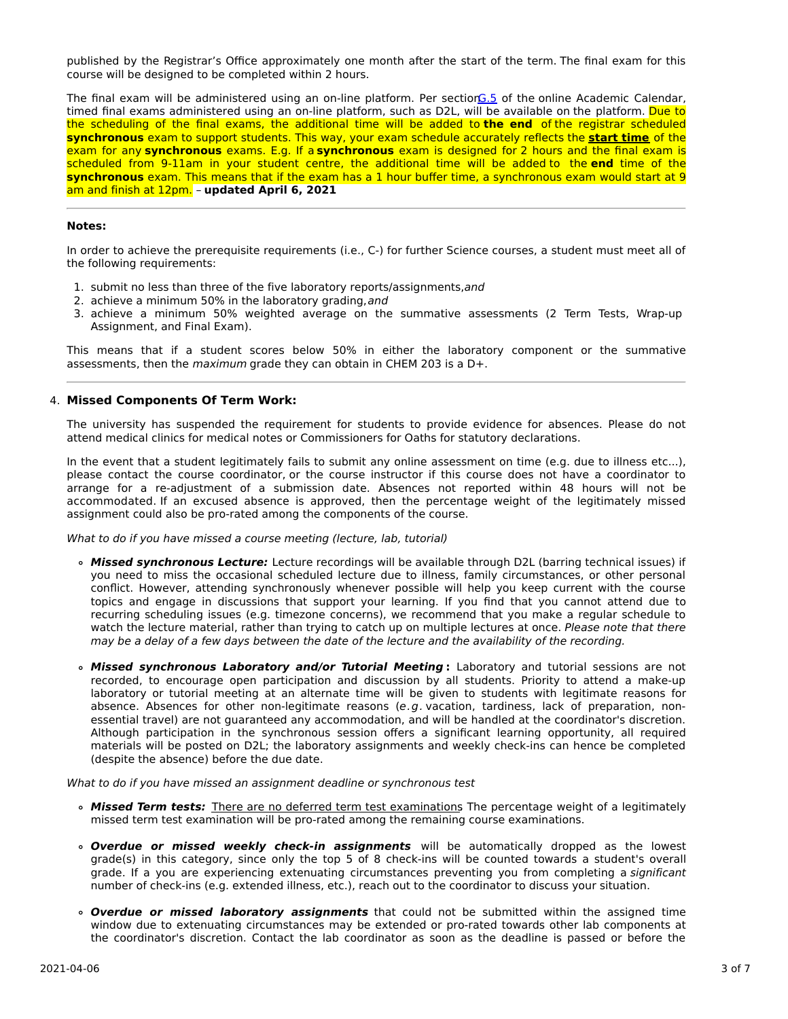published by the Registrar's Office approximately one month after the start of the term. The final exam for this course will be designed to be completed within 2 hours.

The final exam will be administered using an on-line platform. Per section G.5 of the online Academic Calendar, timed final exams administered using an on-line platform, such as D2L, will be available on the platform. Due to the scheduling of the final exams, the additional time will be added to **the end** of the registrar scheduled **synchronous** exam to support students. This way, your exam schedule accurately reflects the **start time** of the exam for any **synchronous** exams. E.g. If a **synchronous** exam is designed for 2 hours and the final exam is scheduled from 9-11am in your student centre, the additional time will be added to the **end** time of the **synchronous** exam. This means that if the exam has a 1 hour buffer time, a synchronous exam would start at 9 am and finish at 12pm. – **updated April 6, 2021**

### **Notes:**

In order to achieve the prerequisite requirements (i.e., C-) for further Science courses, a student must meet all of the following requirements:

- 1. submit no less than three of the five laboratory reports/assignments,and
- 2. achieve a minimum 50% in the laboratory grading, and
- 3. achieve a minimum 50% weighted average on the summative assessments (2 Term Tests, Wrap-up Assignment, and Final Exam).

This means that if a student scores below 50% in either the laboratory component or the summative assessments, then the maximum grade they can obtain in CHEM 203 is a D+.

### 4. **Missed Components Of Term Work:**

The university has suspended the requirement for students to provide evidence for absences. Please do not attend medical clinics for medical notes or Commissioners for Oaths for statutory declarations.

In the event that a student legitimately fails to submit any online assessment on time (e.g. due to illness etc...), please contact the course coordinator, or the course instructor if this course does not have a coordinator to arrange for a re-adjustment of a submission date. Absences not reported within 48 hours will not be accommodated. If an excused absence is approved, then the percentage weight of the legitimately missed assignment could also be pro-rated among the components of the course.

What to do if you have missed a course meeting (lecture, lab, tutorial)

- **Missed synchronous Lecture:** Lecture recordings will be available through D2L (barring technical issues) if you need to miss the occasional scheduled lecture due to illness, family circumstances, or other personal conflict. However, attending synchronously whenever possible will help you keep current with the course topics and engage in discussions that support your learning. If you find that you cannot attend due to recurring scheduling issues (e.g. timezone concerns), we recommend that you make a regular schedule to watch the lecture material, rather than trying to catch up on multiple lectures at once. Please note that there may be a delay of a few days between the date of the lecture and the availability of the recording.
- **Missed synchronous Laboratory and/or Tutorial Meeting :** Laboratory and tutorial sessions are not recorded, to encourage open participation and discussion by all students. Priority to attend a make-up laboratory or tutorial meeting at an alternate time will be given to students with legitimate reasons for absence. Absences for other non-legitimate reasons (e.g. vacation, tardiness, lack of preparation, nonessential travel) are not guaranteed any accommodation, and will be handled at the coordinator's discretion. Although participation in the synchronous session offers a significant learning opportunity, all required materials will be posted on D2L; the laboratory assignments and weekly check-ins can hence be completed (despite the absence) before the due date.

What to do if you have missed an assignment deadline or synchronous test

- **Missed Term tests:** There are no deferred term test examinations. The percentage weight of a legitimately missed term test examination will be pro-rated among the remaining course examinations.
- **Overdue or missed weekly check-in assignments** will be automatically dropped as the lowest grade(s) in this category, since only the top 5 of 8 check-ins will be counted towards a student's overall grade. If a you are experiencing extenuating circumstances preventing you from completing a significant number of check-ins (e.g. extended illness, etc.), reach out to the coordinator to discuss your situation.
- **Overdue or missed laboratory assignments** that could not be submitted within the assigned time window due to extenuating circumstances may be extended or pro-rated towards other lab components at the coordinator's discretion. Contact the lab coordinator as soon as the deadline is passed or before the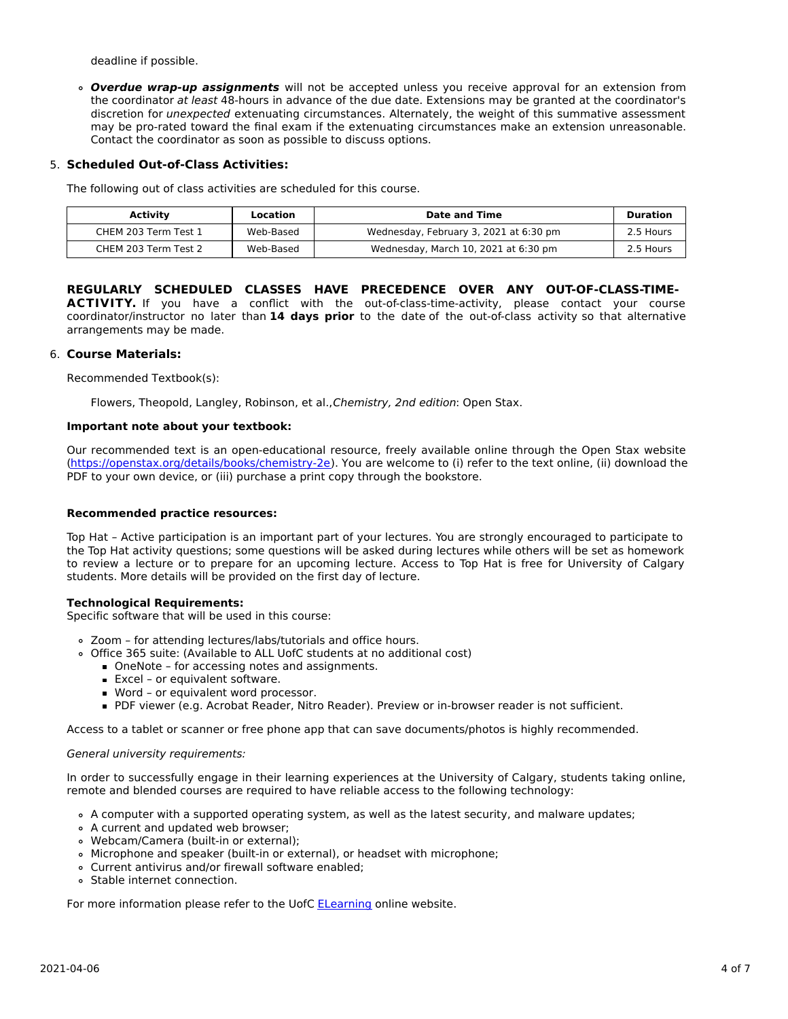deadline if possible.

**Overdue wrap-up assignments** will not be accepted unless you receive approval for an extension from the coordinator at least 48-hours in advance of the due date. Extensions may be granted at the coordinator's discretion for unexpected extenuating circumstances. Alternately, the weight of this summative assessment may be pro-rated toward the final exam if the extenuating circumstances make an extension unreasonable. Contact the coordinator as soon as possible to discuss options.

# 5. **Scheduled Out-of-Class Activities:**

The following out of class activities are scheduled for this course.

| <b>Activity</b>      | Location  | Date and Time                          | Duration  |
|----------------------|-----------|----------------------------------------|-----------|
| CHEM 203 Term Test 1 | Web-Based | Wednesday, February 3, 2021 at 6:30 pm | 2.5 Hours |
| CHEM 203 Term Test 2 | Web-Based | Wednesday, March 10, 2021 at 6:30 pm   | 2.5 Hours |

### **REGULARLY SCHEDULED CLASSES HAVE PRECEDENCE OVER ANY OUT-OF-CLASS-TIME-**ACTIVITY. If you have a conflict with the out-of-class-time-activity, please contact your course coordinator/instructor no later than **14 days prior** to the date of the out-of-class activity so that alternative arrangements may be made.

### 6. **Course Materials:**

Recommended Textbook(s):

Flowers, Theopold, Langley, Robinson, et al.,Chemistry, 2nd edition: Open Stax.

#### **Important note about your textbook:**

Our recommended text is an open-educational resource, freely available online through the Open Stax website [\(https://openstax.org/details/books/chemistry-2e](https://openstax.org/details/books/chemistry-2e)). You are welcome to (i) refer to the text online, (ii) download the PDF to your own device, or (iii) purchase a print copy through the bookstore.

### **Recommended practice resources:**

Top Hat – Active participation is an important part of your lectures. You are strongly encouraged to participate to the Top Hat activity questions; some questions will be asked during lectures while others will be set as homework to review a lecture or to prepare for an upcoming lecture. Access to Top Hat is free for University of Calgary students. More details will be provided on the first day of lecture.

# **Technological Requirements:**

Specific software that will be used in this course:

- Zoom for attending lectures/labs/tutorials and office hours.
- Office 365 suite: (Available to ALL UofC students at no additional cost)
	- OneNote for accessing notes and assignments.
	- **Excel or equivalent software.**
	- Word or equivalent word processor.
	- PDF viewer (e.g. Acrobat Reader, Nitro Reader). Preview or in-browser reader is not sufficient.

Access to a tablet or scanner or free phone app that can save documents/photos is highly recommended.

#### General university requirements:

In order to successfully engage in their learning experiences at the University of Calgary, students taking online, remote and blended courses are required to have reliable access to the following technology:

- A computer with a supported operating system, as well as the latest security, and malware updates;
- A current and updated web browser;
- Webcam/Camera (built-in or external);
- Microphone and speaker (built-in or external), or headset with microphone;
- Current antivirus and/or firewall software enabled;
- Stable internet connection.

For more information please refer to the UofC **[ELearning](https://elearn.ucalgary.ca/technology-requirements-for-students) online website.**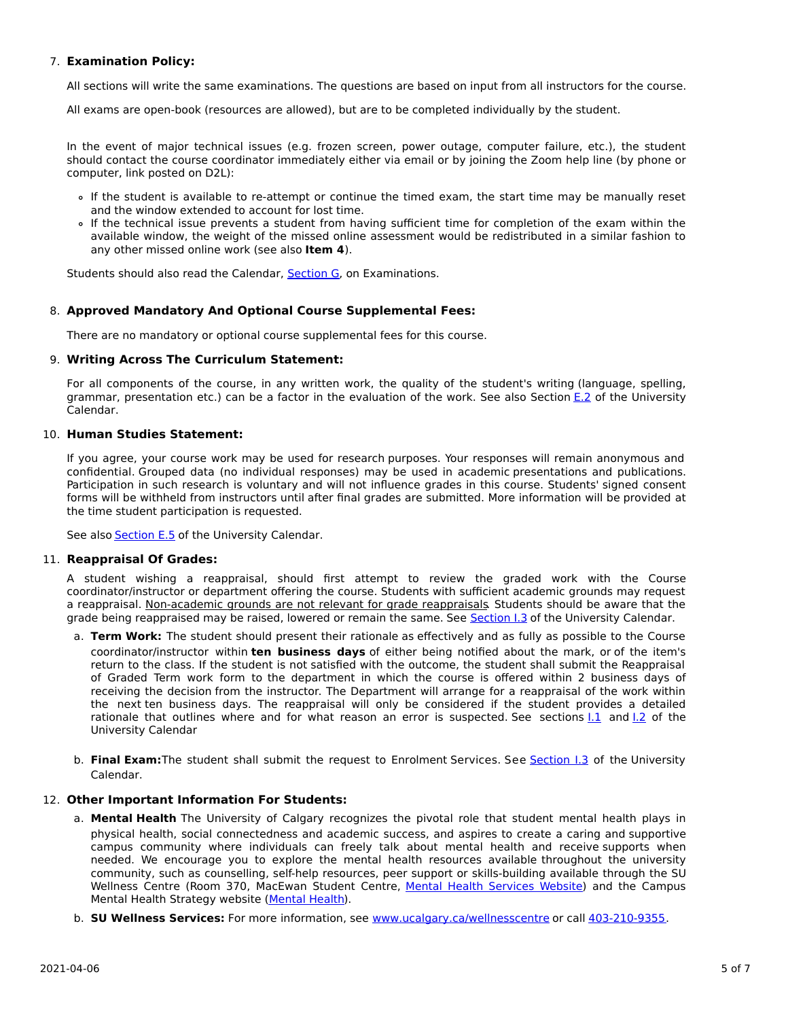# 7. **Examination Policy:**

All sections will write the same examinations. The questions are based on input from all instructors for the course.

All exams are open-book (resources are allowed), but are to be completed individually by the student.

In the event of major technical issues (e.g. frozen screen, power outage, computer failure, etc.), the student should contact the course coordinator immediately either via email or by joining the Zoom help line (by phone or computer, link posted on D2L):

- If the student is available to re-attempt or continue the timed exam, the start time may be manually reset and the window extended to account for lost time.
- If the technical issue prevents a student from having sufficient time for completion of the exam within the available window, the weight of the missed online assessment would be redistributed in a similar fashion to any other missed online work (see also **Item 4**).

Students should also read the Calendar, [Section](http://www.ucalgary.ca/pubs/calendar/current/g.html) G, on Examinations.

# 8. **Approved Mandatory And Optional Course Supplemental Fees:**

There are no mandatory or optional course supplemental fees for this course.

### 9. **Writing Across The Curriculum Statement:**

For all components of the course, in any written work, the quality of the student's writing (language, spelling, grammar, presentation etc.) can be a factor in the evaluation of the work. See also Section [E.2](http://www.ucalgary.ca/pubs/calendar/current/e-2.html) of the University Calendar.

### 10. **Human Studies Statement:**

If you agree, your course work may be used for research purposes. Your responses will remain anonymous and confidential. Grouped data (no individual responses) may be used in academic presentations and publications. Participation in such research is voluntary and will not influence grades in this course. Students' signed consent forms will be withheld from instructors until after final grades are submitted. More information will be provided at the time student participation is requested.

See also **[Section](http://www.ucalgary.ca/pubs/calendar/current/e-5.html) E.5** of the University Calendar.

# 11. **Reappraisal Of Grades:**

A student wishing a reappraisal, should first attempt to review the graded work with the Course coordinator/instructor or department offering the course. Students with sufficient academic grounds may request a reappraisal. Non-academic grounds are not relevant for grade reappraisals. Students should be aware that the grade being reappraised may be raised, lowered or remain the same. See [Section](http://www.ucalgary.ca/pubs/calendar/current/i-3.html) I.3 of the University Calendar.

- a. **Term Work:** The student should present their rationale as effectively and as fully as possible to the Course coordinator/instructor within **ten business days** of either being notified about the mark, or of the item's return to the class. If the student is not satisfied with the outcome, the student shall submit the Reappraisal of Graded Term work form to the department in which the course is offered within 2 business days of receiving the decision from the instructor. The Department will arrange for a reappraisal of the work within the next ten business days. The reappraisal will only be considered if the student provides a detailed rationale that outlines where and for what reason an error is suspected. See sections [I.1](http://www.ucalgary.ca/pubs/calendar/current/i-1.html) and [I.2](http://www.ucalgary.ca/pubs/calendar/current/i-2.html) of the University Calendar
- b. **Final Exam:**The student shall submit the request to Enrolment Services. See [Section](http://www.ucalgary.ca/pubs/calendar/current/i-3.html) I.3 of the University Calendar.

# 12. **Other Important Information For Students:**

- a. **Mental Health** The University of Calgary recognizes the pivotal role that student mental health plays in physical health, social connectedness and academic success, and aspires to create a caring and supportive campus community where individuals can freely talk about mental health and receive supports when needed. We encourage you to explore the mental health resources available throughout the university community, such as counselling, self-help resources, peer support or skills-building available through the SU Wellness Centre (Room 370, MacEwan Student Centre, Mental Health [Services](https://www.ucalgary.ca/wellnesscentre/services/mental-health-services) Website) and the Campus Mental Health Strategy website [\(Mental](http://www.ucalgary.ca/mentalhealth) Health).
- b. **SU Wellness Services:** For more information, see [www.ucalgary.ca/wellnesscentre](http://www.ucalgary.ca/wellnesscentre) or call [403-210-9355.](tel:4032109355)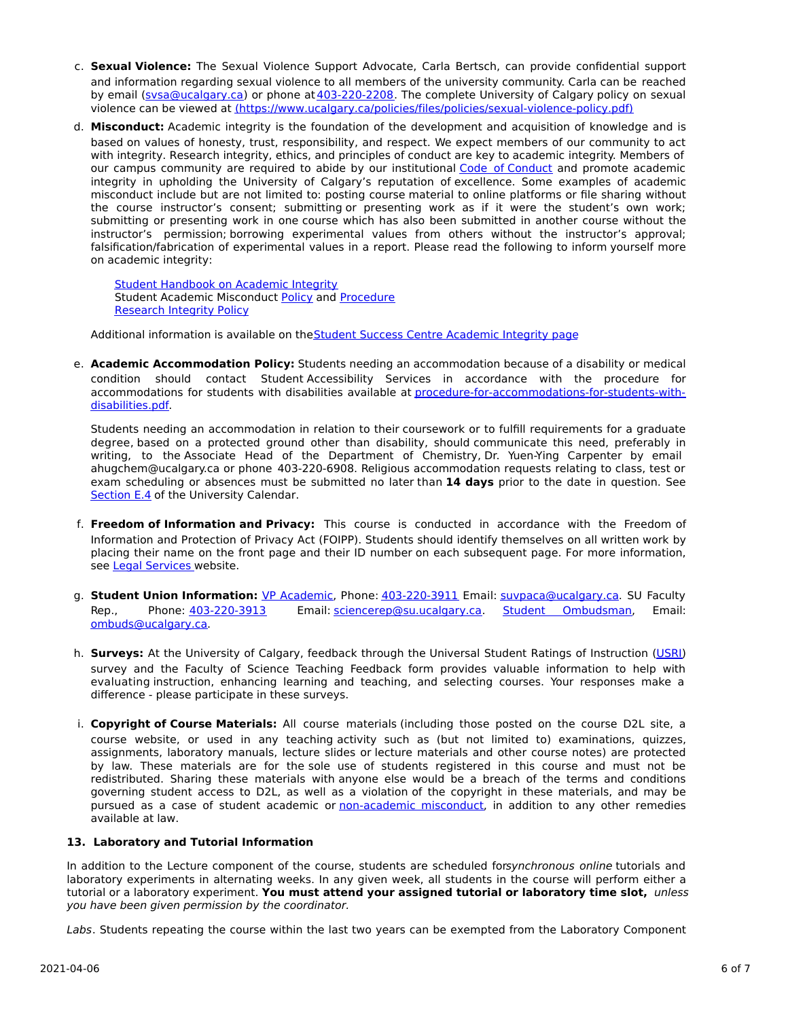- c. **Sexual Violence:** The Sexual Violence Support Advocate, Carla Bertsch, can provide confidential support and information regarding sexual violence to all members of the university community. Carla can be reached by email [\(svsa@ucalgary.ca](mailto:svsa@ucalgary.ca)) or phone at [403-220-2208](tel:4032202208). The complete University of Calgary policy on sexual violence can be viewed at [\(https://www.ucalgary.ca/policies/files/policies/sexual-violence-policy.pdf\)](https://www.ucalgary.ca/policies/files/policies/sexual-violence-policy.pdf)
- d. **Misconduct:** Academic integrity is the foundation of the development and acquisition of knowledge and is based on values of honesty, trust, responsibility, and respect. We expect members of our community to act with integrity. Research integrity, ethics, and principles of conduct are key to academic integrity. Members of our campus community are required to abide by our institutional Code of [Conduct](https://www.ucalgary.ca/policies/files/policies/code-of-conduct.pdf) and promote academic integrity in upholding the University of Calgary's reputation of excellence. Some examples of academic misconduct include but are not limited to: posting course material to online platforms or file sharing without the course instructor's consent; submitting or presenting work as if it were the student's own work; submitting or presenting work in one course which has also been submitted in another course without the instructor's permission; borrowing experimental values from others without the instructor's approval; falsification/fabrication of experimental values in a report. Please read the following to inform yourself more on academic integrity:

**Student [Handbook](https://www.ucalgary.ca/live-uc-ucalgary-site/sites/default/files/teams/9/AI-Student-handbook-1.pdf) on Academic Integrity** Student Academic Misconduct [Policy](https://ucalgary.ca/policies/files/policies/student-academic-misconduct-policy.pdf) and [Procedure](https://ucalgary.ca/policies/files/policies/student-academic-misconduct-procedure.pdf) [Research](https://www.ucalgary.ca/policies/files/policies/research-integrity.pdf) Integrity Policy

Additional information is available on the Student Success Centre [Academic](https://ucalgary.ca/student-services/student-success/learning/academic-integrity) Integrity page

e. **Academic Accommodation Policy:** Students needing an accommodation because of a disability or medical condition should contact Student Accessibility Services in accordance with the procedure for accommodations for students with disabilities available at [procedure-for-accommodations-for-students-with](http://www.ucalgary.ca/policies/files/policies/procedure-for-accommodations-for-students-with-disabilities_0.pdf)disabilities.pdf.

Students needing an accommodation in relation to their coursework or to fulfill requirements for a graduate degree, based on a protected ground other than disability, should communicate this need, preferably in writing, to the Associate Head of the Department of Chemistry, Dr. Yuen-Ying Carpenter by email ahugchem@ucalgary.ca or phone 403-220-6908. Religious accommodation requests relating to class, test or exam scheduling or absences must be submitted no later than **14 days** prior to the date in question. See [Section](http://www.ucalgary.ca/pubs/calendar/current/e-4.html) E.4 of the University Calendar.

- f. **Freedom of Information and Privacy:** This course is conducted in accordance with the Freedom of Information and Protection of Privacy Act (FOIPP). Students should identify themselves on all written work by placing their name on the front page and their ID number on each subsequent page. For more information, see Legal [Services](http://www.ucalgary.ca/legalservices/foip) website.
- g. **Student Union Information:** VP [Academic](http://www.su.ucalgary.ca/contact), Phone: [403-220-3911](tel:4032203911) Email: [suvpaca@ucalgary.ca](mailto:suvpaca@ucalgary.ca). SU Faculty Rep., Phone: [403-220-3913](tel:4032203913) Email: [sciencerep@su.ucalgary.ca](mailto:sciencerep@su.ucalgary.ca). Student [Ombudsman](https://www.ucalgary.ca/ombuds/), Email: [ombuds@ucalgary.ca](mailto:%20ombuds@ucalgary.ca).
- h. **Surveys:** At the University of Calgary, feedback through the Universal Student Ratings of Instruction [\(USRI](http://www.ucalgary.ca/usri)) survey and the Faculty of Science Teaching Feedback form provides valuable information to help with evaluating instruction, enhancing learning and teaching, and selecting courses. Your responses make a difference - please participate in these surveys.
- i. **Copyright of Course Materials:** All course materials (including those posted on the course D2L site, a course website, or used in any teaching activity such as (but not limited to) examinations, quizzes, assignments, laboratory manuals, lecture slides or lecture materials and other course notes) are protected by law. These materials are for the sole use of students registered in this course and must not be redistributed. Sharing these materials with anyone else would be a breach of the terms and conditions governing student access to D2L, as well as a violation of the copyright in these materials, and may be pursued as a case of student academic or [non-academic](https://www.ucalgary.ca/conduct/policy/non-academic-misconduct-policy) misconduct, in addition to any other remedies available at law.

# **13. Laboratory and Tutorial Information**

In addition to the Lecture component of the course, students are scheduled forsynchronous online tutorials and laboratory experiments in alternating weeks. In any given week, all students in the course will perform either a tutorial or a laboratory experiment. **You must attend your assigned tutorial or laboratory time slot,** unless you have been given permission by the coordinator.

Labs. Students repeating the course within the last two years can be exempted from the Laboratory Component